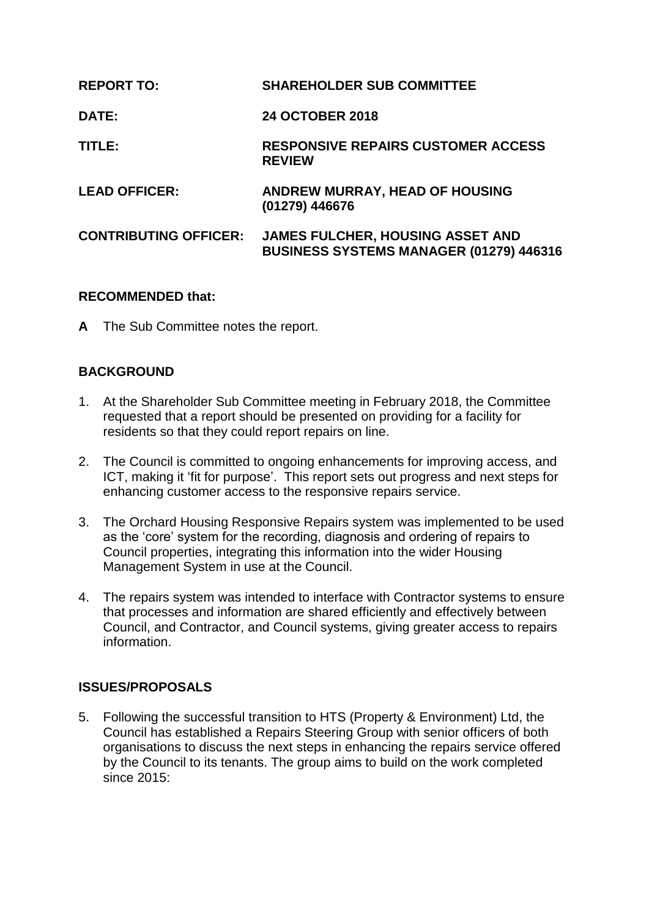| <b>REPORT TO:</b>            | <b>SHAREHOLDER SUB COMMITTEE</b>                                                          |
|------------------------------|-------------------------------------------------------------------------------------------|
| <b>DATE:</b>                 | <b>24 OCTOBER 2018</b>                                                                    |
| TITLE:                       | <b>RESPONSIVE REPAIRS CUSTOMER ACCESS</b><br><b>REVIEW</b>                                |
| <b>LEAD OFFICER:</b>         | <b>ANDREW MURRAY, HEAD OF HOUSING</b><br>(01279) 446676                                   |
| <b>CONTRIBUTING OFFICER:</b> | <b>JAMES FULCHER, HOUSING ASSET AND</b><br><b>BUSINESS SYSTEMS MANAGER (01279) 446316</b> |

### **RECOMMENDED that:**

**A** The Sub Committee notes the report.

#### **BACKGROUND**

- 1. At the Shareholder Sub Committee meeting in February 2018, the Committee requested that a report should be presented on providing for a facility for residents so that they could report repairs on line.
- 2. The Council is committed to ongoing enhancements for improving access, and ICT, making it 'fit for purpose'. This report sets out progress and next steps for enhancing customer access to the responsive repairs service.
- 3. The Orchard Housing Responsive Repairs system was implemented to be used as the 'core' system for the recording, diagnosis and ordering of repairs to Council properties, integrating this information into the wider Housing Management System in use at the Council.
- 4. The repairs system was intended to interface with Contractor systems to ensure that processes and information are shared efficiently and effectively between Council, and Contractor, and Council systems, giving greater access to repairs information.

#### **ISSUES/PROPOSALS**

5. Following the successful transition to HTS (Property & Environment) Ltd, the Council has established a Repairs Steering Group with senior officers of both organisations to discuss the next steps in enhancing the repairs service offered by the Council to its tenants. The group aims to build on the work completed since 2015: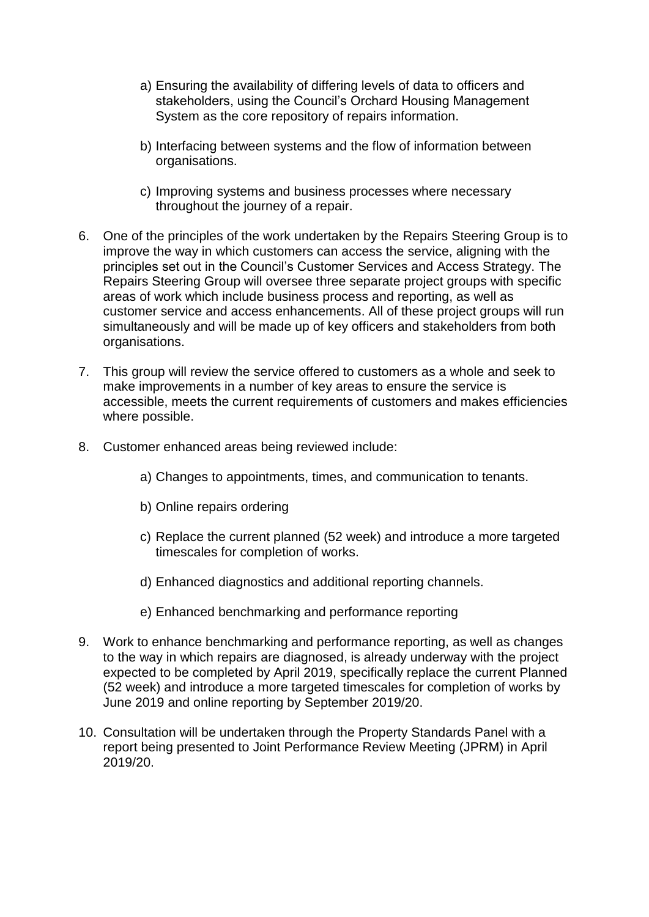- a) Ensuring the availability of differing levels of data to officers and stakeholders, using the Council's Orchard Housing Management System as the core repository of repairs information.
- b) Interfacing between systems and the flow of information between organisations.
- c) Improving systems and business processes where necessary throughout the journey of a repair.
- 6. One of the principles of the work undertaken by the Repairs Steering Group is to improve the way in which customers can access the service, aligning with the principles set out in the Council's Customer Services and Access Strategy. The Repairs Steering Group will oversee three separate project groups with specific areas of work which include business process and reporting, as well as customer service and access enhancements. All of these project groups will run simultaneously and will be made up of key officers and stakeholders from both organisations.
- 7. This group will review the service offered to customers as a whole and seek to make improvements in a number of key areas to ensure the service is accessible, meets the current requirements of customers and makes efficiencies where possible.
- 8. Customer enhanced areas being reviewed include:
	- a) Changes to appointments, times, and communication to tenants.
	- b) Online repairs ordering
	- c) Replace the current planned (52 week) and introduce a more targeted timescales for completion of works.
	- d) Enhanced diagnostics and additional reporting channels.
	- e) Enhanced benchmarking and performance reporting
- 9. Work to enhance benchmarking and performance reporting, as well as changes to the way in which repairs are diagnosed, is already underway with the project expected to be completed by April 2019, specifically replace the current Planned (52 week) and introduce a more targeted timescales for completion of works by June 2019 and online reporting by September 2019/20.
- 10. Consultation will be undertaken through the Property Standards Panel with a report being presented to Joint Performance Review Meeting (JPRM) in April 2019/20.